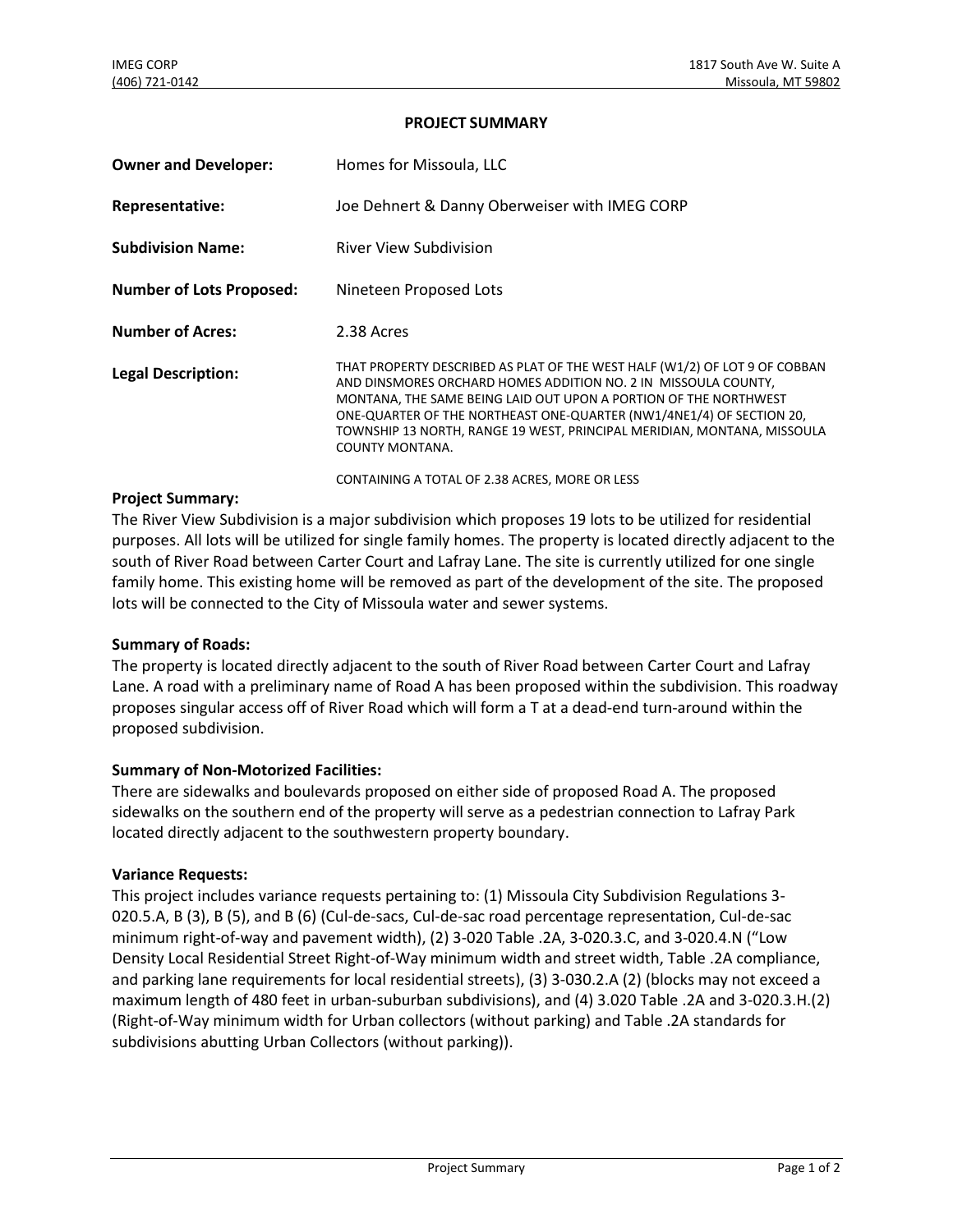### **PROJECT SUMMARY**

| <b>Owner and Developer:</b>     | Homes for Missoula, LLC                                                                                                                                                                                                                                                                                                                                                                                                                  |
|---------------------------------|------------------------------------------------------------------------------------------------------------------------------------------------------------------------------------------------------------------------------------------------------------------------------------------------------------------------------------------------------------------------------------------------------------------------------------------|
| Representative:                 | Joe Dehnert & Danny Oberweiser with IMEG CORP                                                                                                                                                                                                                                                                                                                                                                                            |
| <b>Subdivision Name:</b>        | <b>River View Subdivision</b>                                                                                                                                                                                                                                                                                                                                                                                                            |
| <b>Number of Lots Proposed:</b> | Nineteen Proposed Lots                                                                                                                                                                                                                                                                                                                                                                                                                   |
| <b>Number of Acres:</b>         | 2.38 Acres                                                                                                                                                                                                                                                                                                                                                                                                                               |
| <b>Legal Description:</b>       | THAT PROPERTY DESCRIBED AS PLAT OF THE WEST HALF (W1/2) OF LOT 9 OF COBBAN<br>AND DINSMORES ORCHARD HOMES ADDITION NO. 2 IN MISSOULA COUNTY,<br>MONTANA, THE SAME BEING LAID OUT UPON A PORTION OF THE NORTHWEST<br>ONE-QUARTER OF THE NORTHEAST ONE-QUARTER (NW1/4NE1/4) OF SECTION 20,<br>TOWNSHIP 13 NORTH, RANGE 19 WEST, PRINCIPAL MERIDIAN, MONTANA, MISSOULA<br>COUNTY MONTANA.<br>CONTAINING A TOTAL OF 2.38 ACRES, MORE OR LESS |

### **Project Summary:**

The River View Subdivision is a major subdivision which proposes 19 lots to be utilized for residential purposes. All lots will be utilized for single family homes. The property is located directly adjacent to the south of River Road between Carter Court and Lafray Lane. The site is currently utilized for one single family home. This existing home will be removed as part of the development of the site. The proposed lots will be connected to the City of Missoula water and sewer systems.

### **Summary of Roads:**

The property is located directly adjacent to the south of River Road between Carter Court and Lafray Lane. A road with a preliminary name of Road A has been proposed within the subdivision. This roadway proposes singular access off of River Road which will form a T at a dead-end turn-around within the proposed subdivision.

## **Summary of Non-Motorized Facilities:**

There are sidewalks and boulevards proposed on either side of proposed Road A. The proposed sidewalks on the southern end of the property will serve as a pedestrian connection to Lafray Park located directly adjacent to the southwestern property boundary.

### **Variance Requests:**

This project includes variance requests pertaining to: (1) Missoula City Subdivision Regulations 3- 020.5.A, B (3), B (5), and B (6) (Cul-de-sacs, Cul-de-sac road percentage representation, Cul-de-sac minimum right-of-way and pavement width), (2) 3-020 Table .2A, 3-020.3.C, and 3-020.4.N ("Low Density Local Residential Street Right-of-Way minimum width and street width, Table .2A compliance, and parking lane requirements for local residential streets), (3) 3-030.2.A (2) (blocks may not exceed a maximum length of 480 feet in urban-suburban subdivisions), and (4) 3.020 Table .2A and 3-020.3.H.(2) (Right-of-Way minimum width for Urban collectors (without parking) and Table .2A standards for subdivisions abutting Urban Collectors (without parking)).